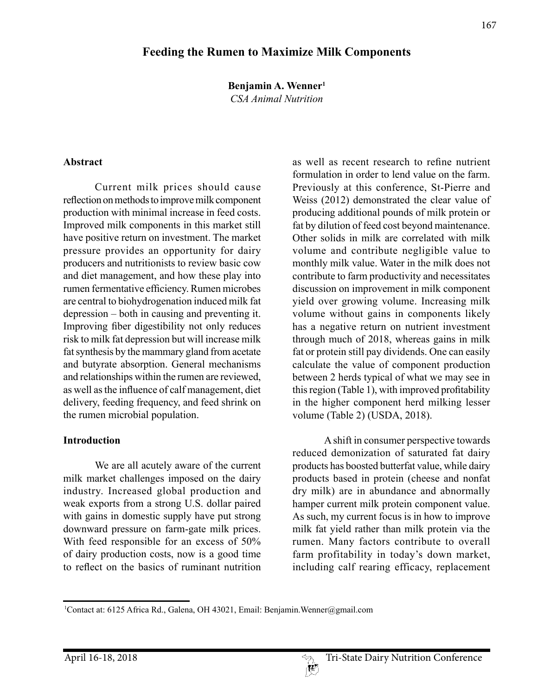# **Feeding the Rumen to Maximize Milk Components**

**Benjamin A. Wenner1**

*CSA Animal Nutrition*

#### **Abstract**

Current milk prices should cause reflection on methods to improve milk component production with minimal increase in feed costs. Improved milk components in this market still have positive return on investment. The market pressure provides an opportunity for dairy producers and nutritionists to review basic cow and diet management, and how these play into rumen fermentative efficiency. Rumen microbes are central to biohydrogenation induced milk fat depression – both in causing and preventing it. Improving fiber digestibility not only reduces risk to milk fat depression but will increase milk fat synthesis by the mammary gland from acetate and butyrate absorption. General mechanisms and relationships within the rumen are reviewed, as well as the influence of calf management, diet delivery, feeding frequency, and feed shrink on the rumen microbial population.

#### **Introduction**

We are all acutely aware of the current milk market challenges imposed on the dairy industry. Increased global production and weak exports from a strong U.S. dollar paired with gains in domestic supply have put strong downward pressure on farm-gate milk prices. With feed responsible for an excess of 50% of dairy production costs, now is a good time to reflect on the basics of ruminant nutrition as well as recent research to refine nutrient formulation in order to lend value on the farm. Previously at this conference, St-Pierre and Weiss (2012) demonstrated the clear value of producing additional pounds of milk protein or fat by dilution of feed cost beyond maintenance. Other solids in milk are correlated with milk volume and contribute negligible value to monthly milk value. Water in the milk does not contribute to farm productivity and necessitates discussion on improvement in milk component yield over growing volume. Increasing milk volume without gains in components likely has a negative return on nutrient investment through much of 2018, whereas gains in milk fat or protein still pay dividends. One can easily calculate the value of component production between 2 herds typical of what we may see in this region (Table 1), with improved profitability in the higher component herd milking lesser volume (Table 2) (USDA, 2018).

A shift in consumer perspective towards reduced demonization of saturated fat dairy products has boosted butterfat value, while dairy products based in protein (cheese and nonfat dry milk) are in abundance and abnormally hamper current milk protein component value. As such, my current focus is in how to improve milk fat yield rather than milk protein via the rumen. Many factors contribute to overall farm profitability in today's down market, including calf rearing efficacy, replacement

<sup>1</sup> Contact at: 6125 Africa Rd., Galena, OH 43021, Email: Benjamin.Wenner@gmail.com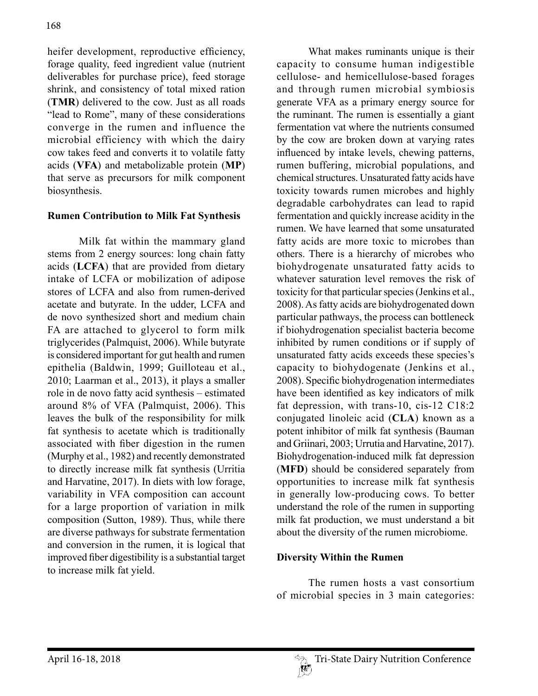heifer development, reproductive efficiency, forage quality, feed ingredient value (nutrient deliverables for purchase price), feed storage shrink, and consistency of total mixed ration (**TMR**) delivered to the cow. Just as all roads "lead to Rome", many of these considerations converge in the rumen and influence the microbial efficiency with which the dairy cow takes feed and converts it to volatile fatty acids (**VFA**) and metabolizable protein (**MP**) that serve as precursors for milk component biosynthesis.

#### **Rumen Contribution to Milk Fat Synthesis**

Milk fat within the mammary gland stems from 2 energy sources: long chain fatty acids (**LCFA**) that are provided from dietary intake of LCFA or mobilization of adipose stores of LCFA and also from rumen-derived acetate and butyrate. In the udder, LCFA and de novo synthesized short and medium chain FA are attached to glycerol to form milk triglycerides (Palmquist, 2006). While butyrate is considered important for gut health and rumen epithelia (Baldwin, 1999; Guilloteau et al., 2010; Laarman et al., 2013), it plays a smaller role in de novo fatty acid synthesis – estimated around 8% of VFA (Palmquist, 2006). This leaves the bulk of the responsibility for milk fat synthesis to acetate which is traditionally associated with fiber digestion in the rumen (Murphy et al., 1982) and recently demonstrated to directly increase milk fat synthesis (Urritia and Harvatine, 2017). In diets with low forage, variability in VFA composition can account for a large proportion of variation in milk composition (Sutton, 1989). Thus, while there are diverse pathways for substrate fermentation and conversion in the rumen, it is logical that improved fiber digestibility is a substantial target to increase milk fat yield.

What makes ruminants unique is their capacity to consume human indigestible cellulose- and hemicellulose-based forages and through rumen microbial symbiosis generate VFA as a primary energy source for the ruminant. The rumen is essentially a giant fermentation vat where the nutrients consumed by the cow are broken down at varying rates influenced by intake levels, chewing patterns, rumen buffering, microbial populations, and chemical structures. Unsaturated fatty acids have toxicity towards rumen microbes and highly degradable carbohydrates can lead to rapid fermentation and quickly increase acidity in the rumen. We have learned that some unsaturated fatty acids are more toxic to microbes than others. There is a hierarchy of microbes who biohydrogenate unsaturated fatty acids to whatever saturation level removes the risk of toxicity for that particular species (Jenkins et al., 2008). As fatty acids are biohydrogenated down particular pathways, the process can bottleneck if biohydrogenation specialist bacteria become inhibited by rumen conditions or if supply of unsaturated fatty acids exceeds these species's capacity to biohydogenate (Jenkins et al., 2008). Specific biohydrogenation intermediates have been identified as key indicators of milk fat depression, with trans-10, cis-12 C18:2 conjugated linoleic acid (**CLA**) known as a potent inhibitor of milk fat synthesis (Bauman and Griinari, 2003; Urrutia and Harvatine, 2017). Biohydrogenation-induced milk fat depression (**MFD**) should be considered separately from opportunities to increase milk fat synthesis in generally low-producing cows. To better understand the role of the rumen in supporting milk fat production, we must understand a bit about the diversity of the rumen microbiome.

### **Diversity Within the Rumen**

The rumen hosts a vast consortium of microbial species in 3 main categories: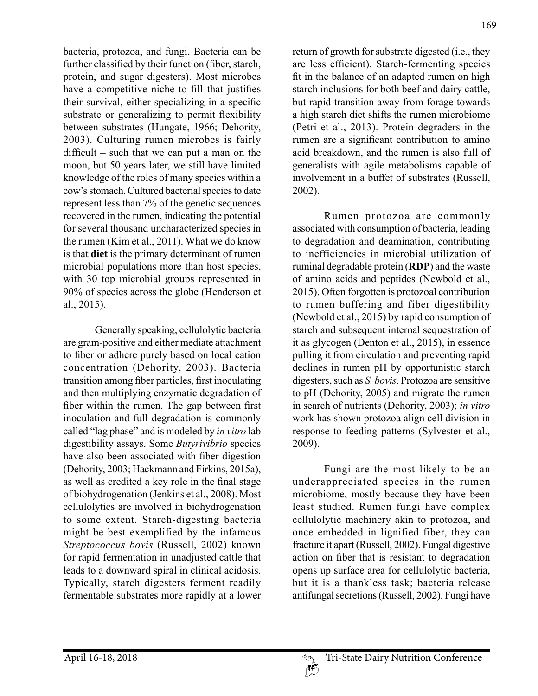bacteria, protozoa, and fungi. Bacteria can be further classified by their function (fiber, starch, protein, and sugar digesters). Most microbes have a competitive niche to fill that justifies their survival, either specializing in a specific substrate or generalizing to permit flexibility between substrates (Hungate, 1966; Dehority, 2003). Culturing rumen microbes is fairly difficult – such that we can put a man on the moon, but 50 years later, we still have limited knowledge of the roles of many species within a cow's stomach. Cultured bacterial species to date represent less than 7% of the genetic sequences recovered in the rumen, indicating the potential for several thousand uncharacterized species in the rumen (Kim et al., 2011). What we do know is that **diet** is the primary determinant of rumen microbial populations more than host species, with 30 top microbial groups represented in 90% of species across the globe (Henderson et al., 2015).

Generally speaking, cellulolytic bacteria are gram-positive and either mediate attachment to fiber or adhere purely based on local cation concentration (Dehority, 2003). Bacteria transition among fiber particles, first inoculating and then multiplying enzymatic degradation of fiber within the rumen. The gap between first inoculation and full degradation is commonly called "lag phase" and is modeled by *in vitro* lab digestibility assays. Some *Butyrivibrio* species have also been associated with fiber digestion (Dehority, 2003; Hackmann and Firkins, 2015a), as well as credited a key role in the final stage of biohydrogenation (Jenkins et al., 2008). Most cellulolytics are involved in biohydrogenation to some extent. Starch-digesting bacteria might be best exemplified by the infamous *Streptococcus bovis* (Russell, 2002) known for rapid fermentation in unadjusted cattle that leads to a downward spiral in clinical acidosis. Typically, starch digesters ferment readily fermentable substrates more rapidly at a lower

return of growth for substrate digested (i.e., they are less efficient). Starch-fermenting species fit in the balance of an adapted rumen on high starch inclusions for both beef and dairy cattle, but rapid transition away from forage towards a high starch diet shifts the rumen microbiome (Petri et al., 2013). Protein degraders in the rumen are a significant contribution to amino acid breakdown, and the rumen is also full of generalists with agile metabolisms capable of involvement in a buffet of substrates (Russell, 2002).

Rumen protozoa are commonly associated with consumption of bacteria, leading to degradation and deamination, contributing to inefficiencies in microbial utilization of ruminal degradable protein (**RDP**) and the waste of amino acids and peptides (Newbold et al., 2015). Often forgotten is protozoal contribution to rumen buffering and fiber digestibility (Newbold et al., 2015) by rapid consumption of starch and subsequent internal sequestration of it as glycogen (Denton et al., 2015), in essence pulling it from circulation and preventing rapid declines in rumen pH by opportunistic starch digesters, such as *S. bovis*. Protozoa are sensitive to pH (Dehority, 2005) and migrate the rumen in search of nutrients (Dehority, 2003); *in vitro*  work has shown protozoa align cell division in response to feeding patterns (Sylvester et al., 2009).

Fungi are the most likely to be an underappreciated species in the rumen microbiome, mostly because they have been least studied. Rumen fungi have complex cellulolytic machinery akin to protozoa, and once embedded in lignified fiber, they can fracture it apart (Russell, 2002). Fungal digestive action on fiber that is resistant to degradation opens up surface area for cellulolytic bacteria, but it is a thankless task; bacteria release antifungal secretions (Russell, 2002). Fungi have

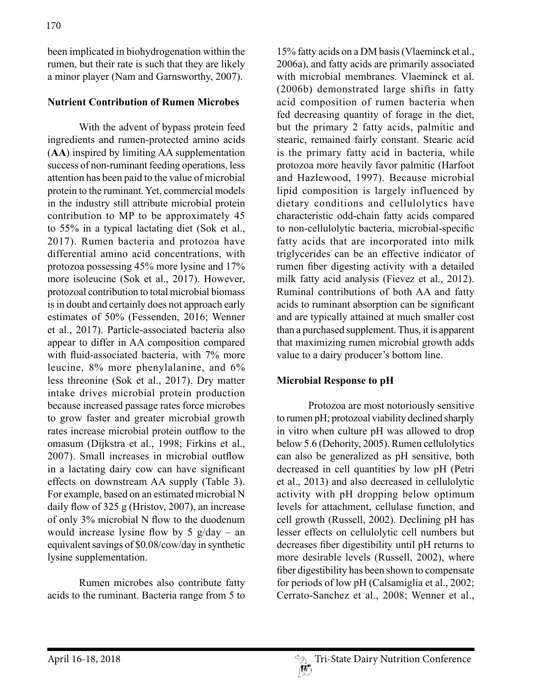been implicated in biohydrogenation within the rumen, but their rate is such that they are likely a minor player (Nam and Garnsworthy, 2007).

### **Nutrient Contribution of Rumen Microbes**

With the advent of bypass protein feed ingredients and rumen-protected amino acids (**AA**) inspired by limiting AA supplementation success of non-ruminant feeding operations, less attention has been paid to the value of microbial protein to the ruminant. Yet, commercial models in the industry still attribute microbial protein contribution to MP to be approximately 45 to 55% in a typical lactating diet (Sok et al., 2017). Rumen bacteria and protozoa have differential amino acid concentrations, with protozoa possessing 45% more lysine and 17% more isoleucine (Sok et al., 2017). However, protozoal contribution to total microbial biomass is in doubt and certainly does not approach early estimates of 50% (Fessenden, 2016; Wenner et al., 2017). Particle-associated bacteria also appear to differ in AA composition compared with fluid-associated bacteria, with 7% more leucine, 8% more phenylalanine, and 6% less threonine (Sok et al., 2017). Dry matter intake drives microbial protein production because increased passage rates force microbes to grow faster and greater microbial growth rates increase microbial protein outflow to the omasum (Dijkstra et al., 1998; Firkins et al., 2007). Small increases in microbial outflow in a lactating dairy cow can have significant effects on downstream AA supply (Table 3). For example, based on an estimated microbial N daily flow of 325 g (Hristov, 2007), an increase of only 3% microbial N flow to the duodenum would increase lysine flow by 5  $g/day - an$ equivalent savings of \$0.08/cow/day in synthetic lysine supplementation.

Rumen microbes also contribute fatty acids to the ruminant. Bacteria range from 5 to

15% fatty acids on a DM basis (Vlaeminck et al., 2006a), and fatty acids are primarily associated with microbial membranes. Vlaeminck et al. (2006b) demonstrated large shifts in fatty acid composition of rumen bacteria when fed decreasing quantity of forage in the diet, but the primary 2 fatty acids, palmitic and stearic, remained fairly constant. Stearic acid is the primary fatty acid in bacteria, while protozoa more heavily favor palmitic (Harfoot and Hazlewood, 1997). Because microbial lipid composition is largely influenced by dietary conditions and cellulolytics have characteristic odd-chain fatty acids compared to non-cellulolytic bacteria, microbial-specific fatty acids that are incorporated into milk triglycerides can be an effective indicator of rumen fiber digesting activity with a detailed milk fatty acid analysis (Fievez et al., 2012). Ruminal contributions of both AA and fatty acids to ruminant absorption can be significant and are typically attained at much smaller cost than a purchased supplement. Thus, it is apparent that maximizing rumen microbial growth adds value to a dairy producer's bottom line.

#### **Microbial Response to pH**

Protozoa are most notoriously sensitive to rumen pH; protozoal viability declined sharply in vitro when culture pH was allowed to drop below 5.6 (Dehority, 2005). Rumen cellulolytics can also be generalized as pH sensitive, both decreased in cell quantities by low pH (Petri et al., 2013) and also decreased in cellulolytic activity with pH dropping below optimum levels for attachment, cellulase function, and cell growth (Russell, 2002). Declining pH has lesser effects on cellulolytic cell numbers but decreases fiber digestibility until pH returns to more desirable levels (Russell, 2002), where fiber digestibility has been shown to compensate for periods of low pH (Calsamiglia et al., 2002; Cerrato-Sanchez et al., 2008; Wenner et al.,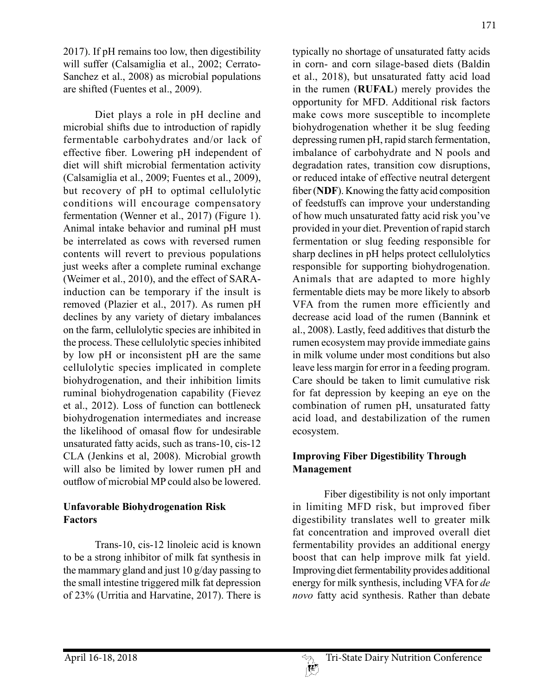2017). If pH remains too low, then digestibility will suffer (Calsamiglia et al., 2002; Cerrato-Sanchez et al., 2008) as microbial populations are shifted (Fuentes et al., 2009).

Diet plays a role in pH decline and microbial shifts due to introduction of rapidly fermentable carbohydrates and/or lack of effective fiber. Lowering pH independent of diet will shift microbial fermentation activity (Calsamiglia et al., 2009; Fuentes et al., 2009), but recovery of pH to optimal cellulolytic conditions will encourage compensatory fermentation (Wenner et al., 2017) (Figure 1). Animal intake behavior and ruminal pH must be interrelated as cows with reversed rumen contents will revert to previous populations just weeks after a complete ruminal exchange (Weimer et al., 2010), and the effect of SARAinduction can be temporary if the insult is removed (Plazier et al., 2017). As rumen pH declines by any variety of dietary imbalances on the farm, cellulolytic species are inhibited in the process. These cellulolytic species inhibited by low pH or inconsistent pH are the same cellulolytic species implicated in complete biohydrogenation, and their inhibition limits ruminal biohydrogenation capability (Fievez et al., 2012). Loss of function can bottleneck biohydrogenation intermediates and increase the likelihood of omasal flow for undesirable unsaturated fatty acids, such as trans-10, cis-12 CLA (Jenkins et al, 2008). Microbial growth will also be limited by lower rumen pH and outflow of microbial MP could also be lowered.

### **Unfavorable Biohydrogenation Risk Factors**

Trans-10, cis-12 linoleic acid is known to be a strong inhibitor of milk fat synthesis in the mammary gland and just 10 g/day passing to the small intestine triggered milk fat depression of 23% (Urritia and Harvatine, 2017). There is typically no shortage of unsaturated fatty acids in corn- and corn silage-based diets (Baldin et al., 2018), but unsaturated fatty acid load in the rumen (**RUFAL**) merely provides the opportunity for MFD. Additional risk factors make cows more susceptible to incomplete biohydrogenation whether it be slug feeding depressing rumen pH, rapid starch fermentation, imbalance of carbohydrate and N pools and degradation rates, transition cow disruptions, or reduced intake of effective neutral detergent fiber (**NDF**). Knowing the fatty acid composition of feedstuffs can improve your understanding of how much unsaturated fatty acid risk you've provided in your diet. Prevention of rapid starch fermentation or slug feeding responsible for sharp declines in pH helps protect cellulolytics responsible for supporting biohydrogenation. Animals that are adapted to more highly fermentable diets may be more likely to absorb VFA from the rumen more efficiently and decrease acid load of the rumen (Bannink et al., 2008). Lastly, feed additives that disturb the rumen ecosystem may provide immediate gains in milk volume under most conditions but also leave less margin for error in a feeding program. Care should be taken to limit cumulative risk for fat depression by keeping an eye on the combination of rumen pH, unsaturated fatty acid load, and destabilization of the rumen ecosystem.

### **Improving Fiber Digestibility Through Management**

Fiber digestibility is not only important in limiting MFD risk, but improved fiber digestibility translates well to greater milk fat concentration and improved overall diet fermentability provides an additional energy boost that can help improve milk fat yield. Improving diet fermentability provides additional energy for milk synthesis, including VFA for *de novo* fatty acid synthesis. Rather than debate

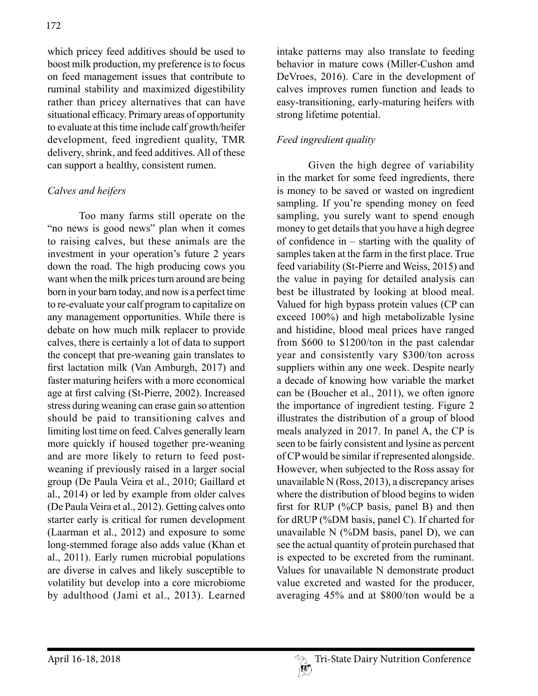which pricey feed additives should be used to boost milk production, my preference is to focus on feed management issues that contribute to ruminal stability and maximized digestibility rather than pricey alternatives that can have situational efficacy. Primary areas of opportunity to evaluate at this time include calf growth/heifer development, feed ingredient quality, TMR delivery, shrink, and feed additives. All of these can support a healthy, consistent rumen.

### *Calves and heifers*

Too many farms still operate on the "no news is good news" plan when it comes to raising calves, but these animals are the investment in your operation's future 2 years down the road. The high producing cows you want when the milk prices turn around are being born in your barn today, and now is a perfect time to re-evaluate your calf program to capitalize on any management opportunities. While there is debate on how much milk replacer to provide calves, there is certainly a lot of data to support the concept that pre-weaning gain translates to first lactation milk (Van Amburgh, 2017) and faster maturing heifers with a more economical age at first calving (St-Pierre, 2002). Increased stress during weaning can erase gain so attention should be paid to transitioning calves and limiting lost time on feed. Calves generally learn more quickly if housed together pre-weaning and are more likely to return to feed postweaning if previously raised in a larger social group (De Paula Veira et al., 2010; Gaillard et al., 2014) or led by example from older calves (De Paula Veira et al., 2012). Getting calves onto starter early is critical for rumen development (Laarman et al., 2012) and exposure to some long-stemmed forage also adds value (Khan et al., 2011). Early rumen microbial populations are diverse in calves and likely susceptible to volatility but develop into a core microbiome by adulthood (Jami et al., 2013). Learned

intake patterns may also translate to feeding behavior in mature cows (Miller-Cushon amd DeVroes, 2016). Care in the development of calves improves rumen function and leads to easy-transitioning, early-maturing heifers with strong lifetime potential.

# *Feed ingredient quality*

Given the high degree of variability in the market for some feed ingredients, there is money to be saved or wasted on ingredient sampling. If you're spending money on feed sampling, you surely want to spend enough money to get details that you have a high degree of confidence in – starting with the quality of samples taken at the farm in the first place. True feed variability (St-Pierre and Weiss, 2015) and the value in paying for detailed analysis can best be illustrated by looking at blood meal. Valued for high bypass protein values (CP can exceed 100%) and high metabolizable lysine and histidine, blood meal prices have ranged from \$600 to \$1200/ton in the past calendar year and consistently vary \$300/ton across suppliers within any one week. Despite nearly a decade of knowing how variable the market can be (Boucher et al., 2011), we often ignore the importance of ingredient testing. Figure 2 illustrates the distribution of a group of blood meals analyzed in 2017. In panel A, the CP is seen to be fairly consistent and lysine as percent of CP would be similar if represented alongside. However, when subjected to the Ross assay for unavailable N (Ross, 2013), a discrepancy arises where the distribution of blood begins to widen first for RUP (%CP basis, panel B) and then for dRUP (%DM basis, panel C). If charted for unavailable N (%DM basis, panel D), we can see the actual quantity of protein purchased that is expected to be excreted from the ruminant. Values for unavailable N demonstrate product value excreted and wasted for the producer, averaging 45% and at \$800/ton would be a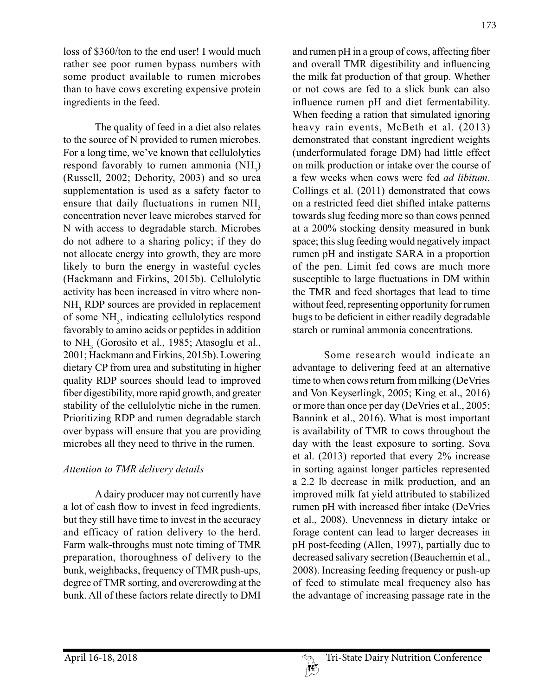loss of \$360/ton to the end user! I would much rather see poor rumen bypass numbers with some product available to rumen microbes than to have cows excreting expensive protein ingredients in the feed.

The quality of feed in a diet also relates to the source of N provided to rumen microbes. For a long time, we've known that cellulolytics respond favorably to rumen ammonia  $(NH_3)$ (Russell, 2002; Dehority, 2003) and so urea supplementation is used as a safety factor to ensure that daily fluctuations in rumen NH<sub>3</sub> concentration never leave microbes starved for N with access to degradable starch. Microbes do not adhere to a sharing policy; if they do not allocate energy into growth, they are more likely to burn the energy in wasteful cycles (Hackmann and Firkins, 2015b). Cellulolytic activity has been increased in vitro where non-NH<sub>3</sub> RDP sources are provided in replacement of some NH<sub>3</sub>, indicating cellulolytics respond favorably to amino acids or peptides in addition to  $NH<sub>3</sub>$  (Gorosito et al., 1985; Atasoglu et al., 2001; Hackmann and Firkins, 2015b). Lowering dietary CP from urea and substituting in higher quality RDP sources should lead to improved fiber digestibility, more rapid growth, and greater stability of the cellulolytic niche in the rumen. Prioritizing RDP and rumen degradable starch over bypass will ensure that you are providing microbes all they need to thrive in the rumen.

### *Attention to TMR delivery details*

A dairy producer may not currently have a lot of cash flow to invest in feed ingredients, but they still have time to invest in the accuracy and efficacy of ration delivery to the herd. Farm walk-throughs must note timing of TMR preparation, thoroughness of delivery to the bunk, weighbacks, frequency of TMR push-ups, degree of TMR sorting, and overcrowding at the bunk. All of these factors relate directly to DMI

173

and rumen pH in a group of cows, affecting fiber and overall TMR digestibility and influencing the milk fat production of that group. Whether or not cows are fed to a slick bunk can also influence rumen pH and diet fermentability. When feeding a ration that simulated ignoring heavy rain events, McBeth et al. (2013) demonstrated that constant ingredient weights (underformulated forage DM) had little effect on milk production or intake over the course of a few weeks when cows were fed *ad libitum*. Collings et al. (2011) demonstrated that cows on a restricted feed diet shifted intake patterns towards slug feeding more so than cows penned at a 200% stocking density measured in bunk space; this slug feeding would negatively impact rumen pH and instigate SARA in a proportion of the pen. Limit fed cows are much more susceptible to large fluctuations in DM within the TMR and feed shortages that lead to time without feed, representing opportunity for rumen bugs to be deficient in either readily degradable starch or ruminal ammonia concentrations.

Some research would indicate an advantage to delivering feed at an alternative time to when cows return from milking (DeVries and Von Keyserlingk, 2005; King et al., 2016) or more than once per day (DeVries et al., 2005; Bannink et al., 2016). What is most important is availability of TMR to cows throughout the day with the least exposure to sorting. Sova et al. (2013) reported that every 2% increase in sorting against longer particles represented a 2.2 lb decrease in milk production, and an improved milk fat yield attributed to stabilized rumen pH with increased fiber intake (DeVries et al., 2008). Unevenness in dietary intake or forage content can lead to larger decreases in pH post-feeding (Allen, 1997), partially due to decreased salivary secretion (Beauchemin et al., 2008). Increasing feeding frequency or push-up of feed to stimulate meal frequency also has the advantage of increasing passage rate in the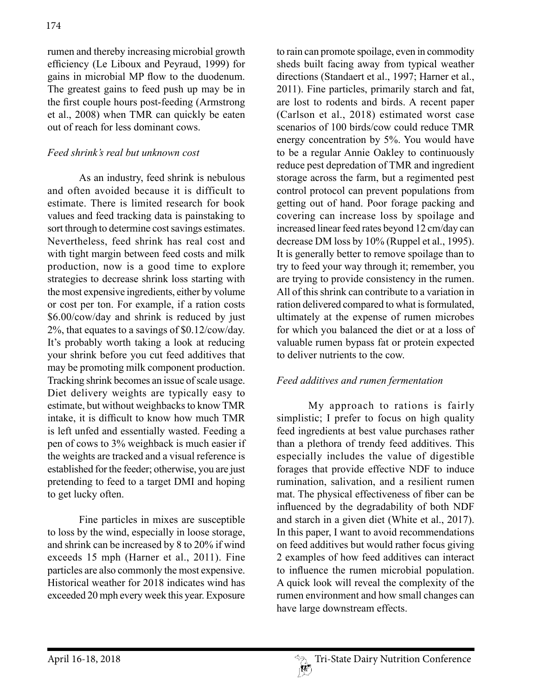rumen and thereby increasing microbial growth efficiency (Le Liboux and Peyraud, 1999) for gains in microbial MP flow to the duodenum. The greatest gains to feed push up may be in the first couple hours post-feeding (Armstrong et al., 2008) when TMR can quickly be eaten out of reach for less dominant cows.

## *Feed shrink's real but unknown cost*

As an industry, feed shrink is nebulous and often avoided because it is difficult to estimate. There is limited research for book values and feed tracking data is painstaking to sort through to determine cost savings estimates. Nevertheless, feed shrink has real cost and with tight margin between feed costs and milk production, now is a good time to explore strategies to decrease shrink loss starting with the most expensive ingredients, either by volume or cost per ton. For example, if a ration costs \$6.00/cow/day and shrink is reduced by just 2%, that equates to a savings of \$0.12/cow/day. It's probably worth taking a look at reducing your shrink before you cut feed additives that may be promoting milk component production. Tracking shrink becomes an issue of scale usage. Diet delivery weights are typically easy to estimate, but without weighbacks to know TMR intake, it is difficult to know how much TMR is left unfed and essentially wasted. Feeding a pen of cows to 3% weighback is much easier if the weights are tracked and a visual reference is established for the feeder; otherwise, you are just pretending to feed to a target DMI and hoping to get lucky often.

Fine particles in mixes are susceptible to loss by the wind, especially in loose storage, and shrink can be increased by 8 to 20% if wind exceeds 15 mph (Harner et al., 2011). Fine particles are also commonly the most expensive. Historical weather for 2018 indicates wind has exceeded 20 mph every week this year. Exposure

to rain can promote spoilage, even in commodity sheds built facing away from typical weather directions (Standaert et al., 1997; Harner et al., 2011). Fine particles, primarily starch and fat, are lost to rodents and birds. A recent paper (Carlson et al., 2018) estimated worst case scenarios of 100 birds/cow could reduce TMR energy concentration by 5%. You would have to be a regular Annie Oakley to continuously reduce pest depredation of TMR and ingredient storage across the farm, but a regimented pest control protocol can prevent populations from getting out of hand. Poor forage packing and covering can increase loss by spoilage and increased linear feed rates beyond 12 cm/day can decrease DM loss by 10% (Ruppel et al., 1995). It is generally better to remove spoilage than to try to feed your way through it; remember, you are trying to provide consistency in the rumen. All of this shrink can contribute to a variation in ration delivered compared to what is formulated, ultimately at the expense of rumen microbes for which you balanced the diet or at a loss of valuable rumen bypass fat or protein expected to deliver nutrients to the cow.

#### *Feed additives and rumen fermentation*

My approach to rations is fairly simplistic; I prefer to focus on high quality feed ingredients at best value purchases rather than a plethora of trendy feed additives. This especially includes the value of digestible forages that provide effective NDF to induce rumination, salivation, and a resilient rumen mat. The physical effectiveness of fiber can be influenced by the degradability of both NDF and starch in a given diet (White et al., 2017). In this paper, I want to avoid recommendations on feed additives but would rather focus giving 2 examples of how feed additives can interact to influence the rumen microbial population. A quick look will reveal the complexity of the rumen environment and how small changes can have large downstream effects.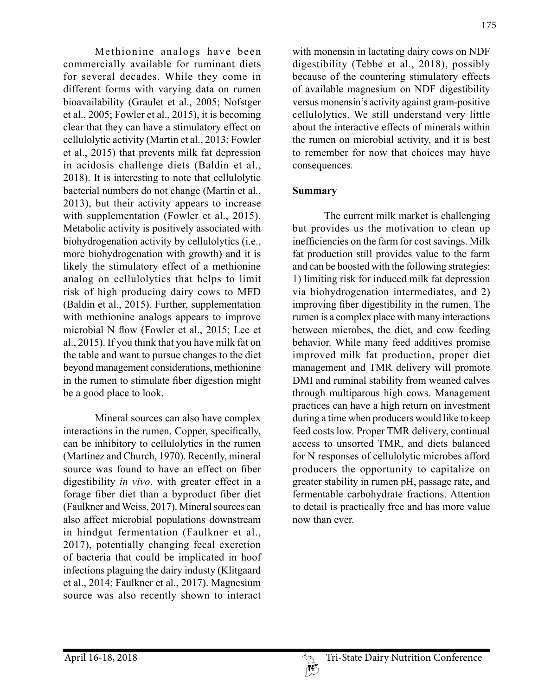Methionine analogs have been commercially available for ruminant diets for several decades. While they come in different forms with varying data on rumen bioavailability (Graulet et al., 2005; Nofstger et al., 2005; Fowler et al., 2015), it is becoming clear that they can have a stimulatory effect on cellulolytic activity (Martin et al., 2013; Fowler et al., 2015) that prevents milk fat depression in acidosis challenge diets (Baldin et al., 2018). It is interesting to note that cellulolytic bacterial numbers do not change (Martin et al., 2013), but their activity appears to increase with supplementation (Fowler et al., 2015). Metabolic activity is positively associated with biohydrogenation activity by cellulolytics (i.e., more biohydrogenation with growth) and it is likely the stimulatory effect of a methionine analog on cellulolytics that helps to limit risk of high producing dairy cows to MFD (Baldin et al., 2015). Further, supplementation with methionine analogs appears to improve microbial N flow (Fowler et al., 2015; Lee et al., 2015). If you think that you have milk fat on the table and want to pursue changes to the diet beyond management considerations, methionine in the rumen to stimulate fiber digestion might be a good place to look.

Mineral sources can also have complex interactions in the rumen. Copper, specifically, can be inhibitory to cellulolytics in the rumen (Martinez and Church, 1970). Recently, mineral source was found to have an effect on fiber digestibility *in vivo*, with greater effect in a forage fiber diet than a byproduct fiber diet (Faulkner and Weiss, 2017). Mineral sources can also affect microbial populations downstream in hindgut fermentation (Faulkner et al., 2017), potentially changing fecal excretion of bacteria that could be implicated in hoof infections plaguing the dairy industy (Klitgaard et al., 2014; Faulkner et al., 2017). Magnesium source was also recently shown to interact



with monensin in lactating dairy cows on NDF digestibility (Tebbe et al., 2018), possibly because of the countering stimulatory effects of available magnesium on NDF digestibility versus monensin's activity against gram-positive cellulolytics. We still understand very little about the interactive effects of minerals within the rumen on microbial activity, and it is best to remember for now that choices may have consequences.

#### **Summary**

The current milk market is challenging but provides us the motivation to clean up inefficiencies on the farm for cost savings. Milk fat production still provides value to the farm and can be boosted with the following strategies: 1) limiting risk for induced milk fat depression via biohydrogenation intermediates, and 2) improving fiber digestibility in the rumen. The rumen is a complex place with many interactions between microbes, the diet, and cow feeding behavior. While many feed additives promise improved milk fat production, proper diet management and TMR delivery will promote DMI and ruminal stability from weaned calves through multiparous high cows. Management practices can have a high return on investment during a time when producers would like to keep feed costs low. Proper TMR delivery, continual access to unsorted TMR, and diets balanced for N responses of cellulolytic microbes afford producers the opportunity to capitalize on greater stability in rumen pH, passage rate, and fermentable carbohydrate fractions. Attention to detail is practically free and has more value now than ever.

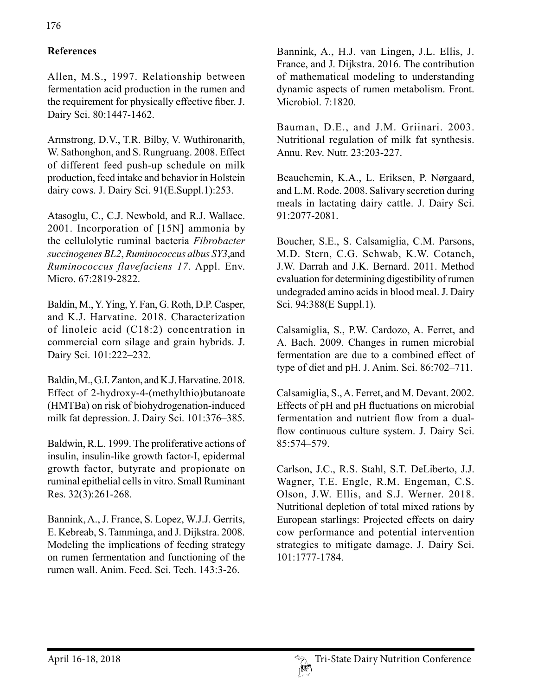# **References**

Allen, M.S., 1997. Relationship between fermentation acid production in the rumen and the requirement for physically effective fiber. J. Dairy Sci. 80:1447-1462.

Armstrong, D.V., T.R. Bilby, V. Wuthironarith, W. Sathonghon, and S. Rungruang. 2008. Effect of different feed push-up schedule on milk production, feed intake and behavior in Holstein dairy cows. J. Dairy Sci. 91(E.Suppl.1):253.

Atasoglu, C., C.J. Newbold, and R.J. Wallace. 2001. Incorporation of [15N] ammonia by the cellulolytic ruminal bacteria *Fibrobacter succinogenes BL2*, *Ruminococcus albus SY3*,and *Ruminococcus flavefaciens 17*. Appl. Env. Micro. 67:2819-2822.

Baldin, M., Y. Ying, Y. Fan, G. Roth, D.P. Casper, and K.J. Harvatine. 2018. Characterization of linoleic acid (C18:2) concentration in commercial corn silage and grain hybrids. J. Dairy Sci. 101:222–232.

Baldin, M., G.I. Zanton, and K.J. Harvatine. 2018. Effect of 2-hydroxy-4-(methylthio)butanoate (HMTBa) on risk of biohydrogenation-induced milk fat depression. J. Dairy Sci. 101:376–385.

Baldwin, R.L. 1999. The proliferative actions of insulin, insulin-like growth factor-I, epidermal growth factor, butyrate and propionate on ruminal epithelial cells in vitro. Small Ruminant Res. 32(3):261-268.

Bannink, A., J. France, S. Lopez, W.J.J. Gerrits, E. Kebreab, S. Tamminga, and J. Dijkstra. 2008. Modeling the implications of feeding strategy on rumen fermentation and functioning of the rumen wall. Anim. Feed. Sci. Tech. 143:3-26.

Bannink, A., H.J. van Lingen, J.L. Ellis, J. France, and J. Dijkstra. 2016. The contribution of mathematical modeling to understanding dynamic aspects of rumen metabolism. Front. Microbiol. 7:1820.

Bauman, D.E., and J.M. Griinari. 2003. Nutritional regulation of milk fat synthesis. Annu. Rev. Nutr. 23:203-227.

Beauchemin, K.A., L. Eriksen, P. Nørgaard, and L.M. Rode. 2008. Salivary secretion during meals in lactating dairy cattle. J. Dairy Sci. 91:2077-2081.

Boucher, S.E., S. Calsamiglia, C.M. Parsons, M.D. Stern, C.G. Schwab, K.W. Cotanch, J.W. Darrah and J.K. Bernard. 2011. Method evaluation for determining digestibility of rumen undegraded amino acids in blood meal. J. Dairy Sci. 94:388(E Suppl.1).

Calsamiglia, S., P.W. Cardozo, A. Ferret, and A. Bach. 2009. Changes in rumen microbial fermentation are due to a combined effect of type of diet and pH. J. Anim. Sci. 86:702–711.

Calsamiglia, S., A. Ferret, and M. Devant. 2002. Effects of pH and pH fluctuations on microbial fermentation and nutrient flow from a dualflow continuous culture system. J. Dairy Sci. 85:574–579.

Carlson, J.C., R.S. Stahl, S.T. DeLiberto, J.J. Wagner, T.E. Engle, R.M. Engeman, C.S. Olson, J.W. Ellis, and S.J. Werner. 2018. Nutritional depletion of total mixed rations by European starlings: Projected effects on dairy cow performance and potential intervention strategies to mitigate damage. J. Dairy Sci. 101:1777-1784.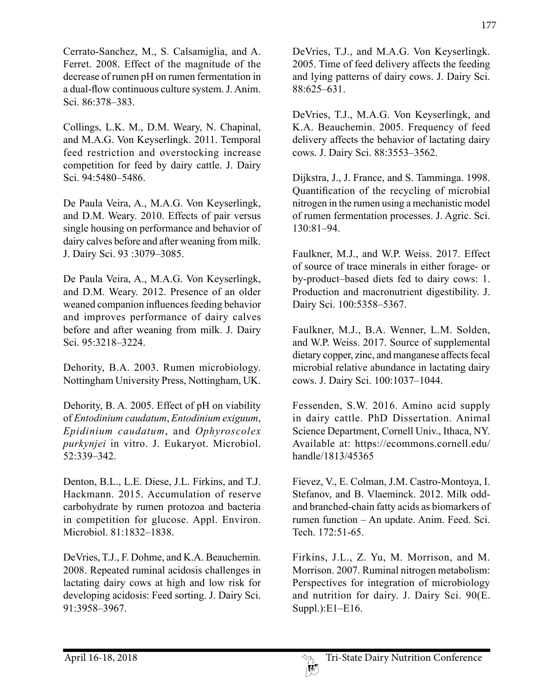Cerrato-Sanchez, M., S. Calsamiglia, and A. Ferret. 2008. Effect of the magnitude of the decrease of rumen pH on rumen fermentation in a dual-flow continuous culture system. J. Anim. Sci. 86:378–383.

Collings, L.K. M., D.M. Weary, N. Chapinal, and M.A.G. Von Keyserlingk. 2011. Temporal feed restriction and overstocking increase competition for feed by dairy cattle. J. Dairy Sci. 94:5480–5486.

De Paula Veira, A., M.A.G. Von Keyserlingk, and D.M. Weary. 2010. Effects of pair versus single housing on performance and behavior of dairy calves before and after weaning from milk. J. Dairy Sci. 93 :3079–3085.

De Paula Veira, A., M.A.G. Von Keyserlingk, and D.M. Weary. 2012. Presence of an older weaned companion influences feeding behavior and improves performance of dairy calves before and after weaning from milk. J. Dairy Sci. 95:3218–3224.

Dehority, B.A. 2003. Rumen microbiology. Nottingham University Press, Nottingham, UK.

Dehority, B. A. 2005. Effect of pH on viability of *Entodinium caudatum*, *Entodinium exiguum*, *Epidinium caudatum*, and *Ophyroscolex purkynjei* in vitro. J. Eukaryot. Microbiol. 52:339–342.

Denton, B.L., L.E. Diese, J.L. Firkins, and T.J. Hackmann. 2015. Accumulation of reserve carbohydrate by rumen protozoa and bacteria in competition for glucose. Appl. Environ. Microbiol. 81:1832–1838.

DeVries, T.J., F. Dohme, and K.A. Beauchemin. 2008. Repeated ruminal acidosis challenges in lactating dairy cows at high and low risk for developing acidosis: Feed sorting. J. Dairy Sci. 91:3958–3967.

DeVries, T.J., and M.A.G. Von Keyserlingk. 2005. Time of feed delivery affects the feeding and lying patterns of dairy cows. J. Dairy Sci. 88:625–631.

DeVries, T.J., M.A.G. Von Keyserlingk, and K.A. Beauchemin. 2005. Frequency of feed delivery affects the behavior of lactating dairy cows. J. Dairy Sci. 88:3553–3562.

Dijkstra, J., J. France, and S. Tamminga. 1998. Quantification of the recycling of microbial nitrogen in the rumen using a mechanistic model of rumen fermentation processes. J. Agric. Sci. 130:81–94.

Faulkner, M.J., and W.P. Weiss. 2017. Effect of source of trace minerals in either forage- or by-product–based diets fed to dairy cows: 1. Production and macronutrient digestibility. J. Dairy Sci. 100:5358–5367.

Faulkner, M.J., B.A. Wenner, L.M. Solden, and W.P. Weiss. 2017. Source of supplemental dietary copper, zinc, and manganese affects fecal microbial relative abundance in lactating dairy cows. J. Dairy Sci. 100:1037–1044.

Fessenden, S.W. 2016. Amino acid supply in dairy cattle. PhD Dissertation. Animal Science Department, Cornell Univ., Ithaca, NY. Available at: https://ecommons.cornell.edu/ handle/1813/45365

Fievez, V., E. Colman, J.M. Castro-Montoya, I. Stefanov, and B. Vlaeminck. 2012. Milk oddand branched-chain fatty acids as biomarkers of rumen function – An update. Anim. Feed. Sci. Tech. 172:51-65.

Firkins, J.L., Z. Yu, M. Morrison, and M. Morrison. 2007. Ruminal nitrogen metabolism: Perspectives for integration of microbiology and nutrition for dairy. J. Dairy Sci. 90(E. Suppl.):E1–E16.

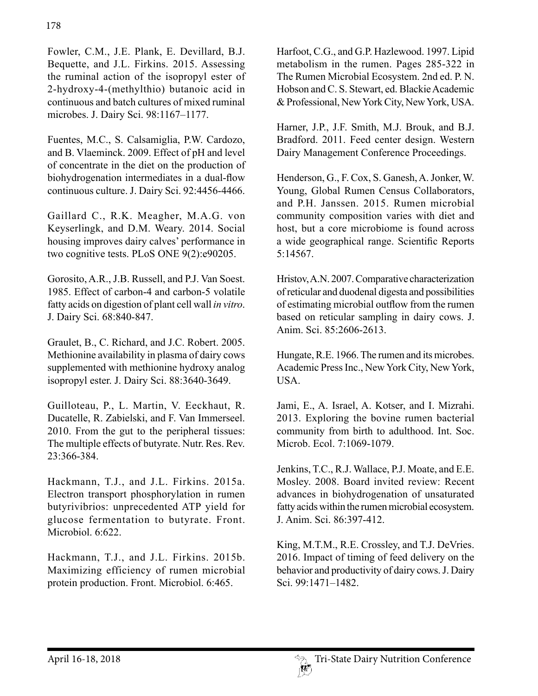Fowler, C.M., J.E. Plank, E. Devillard, B.J. Bequette, and J.L. Firkins. 2015. Assessing the ruminal action of the isopropyl ester of 2-hydroxy-4-(methylthio) butanoic acid in continuous and batch cultures of mixed ruminal microbes. J. Dairy Sci. 98:1167–1177.

Fuentes, M.C., S. Calsamiglia, P.W. Cardozo, and B. Vlaeminck. 2009. Effect of pH and level of concentrate in the diet on the production of biohydrogenation intermediates in a dual-flow continuous culture. J. Dairy Sci. 92:4456-4466.

Gaillard C., R.K. Meagher, M.A.G. von Keyserlingk, and D.M. Weary. 2014. Social housing improves dairy calves' performance in two cognitive tests. PLoS ONE 9(2):e90205.

Gorosito, A.R., J.B. Russell, and P.J. Van Soest. 1985. Effect of carbon-4 and carbon-5 volatile fatty acids on digestion of plant cell wall *in vitro*. J. Dairy Sci. 68:840-847.

Graulet, B., C. Richard, and J.C. Robert. 2005. Methionine availability in plasma of dairy cows supplemented with methionine hydroxy analog isopropyl ester. J. Dairy Sci. 88:3640-3649.

Guilloteau, P., L. Martin, V. Eeckhaut, R. Ducatelle, R. Zabielski, and F. Van Immerseel. 2010. From the gut to the peripheral tissues: The multiple effects of butyrate. Nutr. Res. Rev. 23:366-384.

Hackmann, T.J., and J.L. Firkins. 2015a. Electron transport phosphorylation in rumen butyrivibrios: unprecedented ATP yield for glucose fermentation to butyrate. Front. Microbiol. 6:622.

Hackmann, T.J., and J.L. Firkins. 2015b. Maximizing efficiency of rumen microbial protein production. Front. Microbiol. 6:465.

Harfoot, C.G., and G.P. Hazlewood. 1997. Lipid metabolism in the rumen. Pages 285-322 in The Rumen Microbial Ecosystem. 2nd ed. P. N. Hobson and C. S. Stewart, ed. Blackie Academic & Professional, New York City, New York, USA.

Harner, J.P., J.F. Smith, M.J. Brouk, and B.J. Bradford. 2011. Feed center design. Western Dairy Management Conference Proceedings.

Henderson, G., F. Cox, S. Ganesh, A. Jonker, W. Young, Global Rumen Census Collaborators, and P.H. Janssen. 2015. Rumen microbial community composition varies with diet and host, but a core microbiome is found across a wide geographical range. Scientific Reports 5:14567.

Hristov, A.N. 2007. Comparative characterization of reticular and duodenal digesta and possibilities of estimating microbial outflow from the rumen based on reticular sampling in dairy cows. J. Anim. Sci. 85:2606-2613.

Hungate, R.E. 1966. The rumen and its microbes. Academic Press Inc., New York City, New York, USA.

Jami, E., A. Israel, A. Kotser, and I. Mizrahi. 2013. Exploring the bovine rumen bacterial community from birth to adulthood. Int. Soc. Microb. Ecol. 7:1069-1079.

Jenkins, T.C., R.J. Wallace, P.J. Moate, and E.E. Mosley. 2008. Board invited review: Recent advances in biohydrogenation of unsaturated fatty acids within the rumen microbial ecosystem. J. Anim. Sci. 86:397-412.

King, M.T.M., R.E. Crossley, and T.J. DeVries. 2016. Impact of timing of feed delivery on the behavior and productivity of dairy cows. J. Dairy Sci. 99:1471–1482.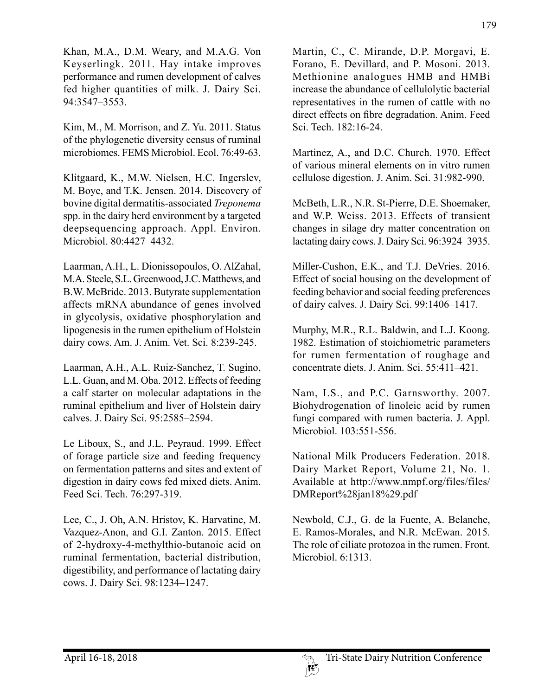Khan, M.A., D.M. Weary, and M.A.G. Von Keyserlingk. 2011. Hay intake improves performance and rumen development of calves fed higher quantities of milk. J. Dairy Sci. 94:3547–3553.

Kim, M., M. Morrison, and Z. Yu. 2011. Status of the phylogenetic diversity census of ruminal microbiomes. FEMS Microbiol. Ecol. 76:49-63.

Klitgaard, K., M.W. Nielsen, H.C. Ingerslev, M. Boye, and T.K. Jensen. 2014. Discovery of bovine digital dermatitis-associated *Treponema*  spp. in the dairy herd environment by a targeted deepsequencing approach. Appl. Environ. Microbiol. 80:4427–4432.

Laarman, A.H., L. Dionissopoulos, O. AlZahal, M.A. Steele, S.L. Greenwood, J.C. Matthews, and B.W. McBride. 2013. Butyrate supplementation affects mRNA abundance of genes involved in glycolysis, oxidative phosphorylation and lipogenesis in the rumen epithelium of Holstein dairy cows. Am. J. Anim. Vet. Sci. 8:239-245.

Laarman, A.H., A.L. Ruiz-Sanchez, T. Sugino, L.L. Guan, and M. Oba. 2012. Effects of feeding a calf starter on molecular adaptations in the ruminal epithelium and liver of Holstein dairy calves. J. Dairy Sci. 95:2585–2594.

Le Liboux, S., and J.L. Peyraud. 1999. Effect of forage particle size and feeding frequency on fermentation patterns and sites and extent of digestion in dairy cows fed mixed diets. Anim. Feed Sci. Tech. 76:297-319.

Lee, C., J. Oh, A.N. Hristov, K. Harvatine, M. Vazquez-Anon, and G.I. Zanton. 2015. Effect of 2-hydroxy-4-methylthio-butanoic acid on ruminal fermentation, bacterial distribution, digestibility, and performance of lactating dairy cows. J. Dairy Sci. 98:1234–1247.

Martin, C., C. Mirande, D.P. Morgavi, E. Forano, E. Devillard, and P. Mosoni. 2013. Methionine analogues HMB and HMBi increase the abundance of cellulolytic bacterial representatives in the rumen of cattle with no direct effects on fibre degradation. Anim. Feed Sci. Tech. 182:16-24.

Martinez, A., and D.C. Church. 1970. Effect of various mineral elements on in vitro rumen cellulose digestion. J. Anim. Sci. 31:982-990.

McBeth, L.R., N.R. St-Pierre, D.E. Shoemaker, and W.P. Weiss. 2013. Effects of transient changes in silage dry matter concentration on lactating dairy cows. J. Dairy Sci. 96:3924–3935.

Miller-Cushon, E.K., and T.J. DeVries. 2016. Effect of social housing on the development of feeding behavior and social feeding preferences of dairy calves. J. Dairy Sci. 99:1406–1417.

Murphy, M.R., R.L. Baldwin, and L.J. Koong. 1982. Estimation of stoichiometric parameters for rumen fermentation of roughage and concentrate diets. J. Anim. Sci. 55:411–421.

Nam, I.S., and P.C. Garnsworthy. 2007. Biohydrogenation of linoleic acid by rumen fungi compared with rumen bacteria. J. Appl. Microbiol. 103:551-556.

National Milk Producers Federation. 2018. Dairy Market Report, Volume 21, No. 1. Available at http://www.nmpf.org/files/files/ DMReport%28jan18%29.pdf

Newbold, C.J., G. de la Fuente, A. Belanche, E. Ramos-Morales, and N.R. McEwan. 2015. The role of ciliate protozoa in the rumen. Front. Microbiol. 6:1313.

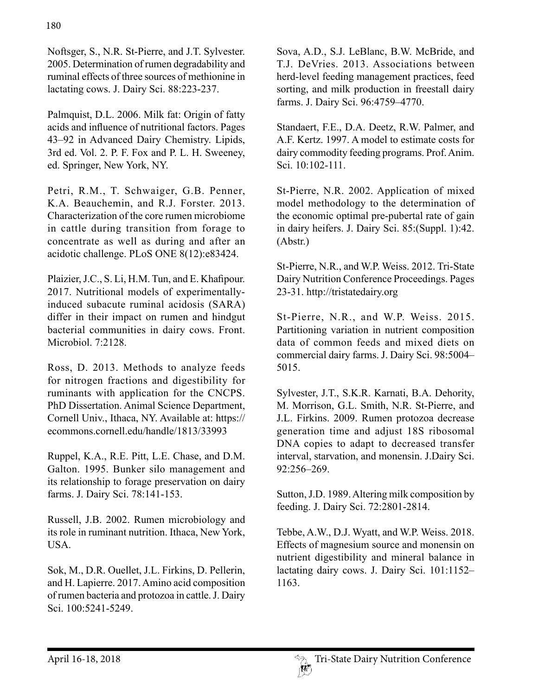Noftsger, S., N.R. St-Pierre, and J.T. Sylvester. 2005. Determination of rumen degradability and ruminal effects of three sources of methionine in lactating cows. J. Dairy Sci. 88:223-237.

Palmquist, D.L. 2006. Milk fat: Origin of fatty acids and influence of nutritional factors. Pages 43–92 in Advanced Dairy Chemistry. Lipids, 3rd ed. Vol. 2. P. F. Fox and P. L. H. Sweeney, ed. Springer, New York, NY.

Petri, R.M., T. Schwaiger, G.B. Penner, K.A. Beauchemin, and R.J. Forster. 2013. Characterization of the core rumen microbiome in cattle during transition from forage to concentrate as well as during and after an acidotic challenge. PLoS ONE 8(12):e83424.

Plaizier, J.C., S. Li, H.M. Tun, and E. Khafipour. 2017. Nutritional models of experimentallyinduced subacute ruminal acidosis (SARA) differ in their impact on rumen and hindgut bacterial communities in dairy cows. Front. Microbiol. 7:2128.

Ross, D. 2013. Methods to analyze feeds for nitrogen fractions and digestibility for ruminants with application for the CNCPS. PhD Dissertation. Animal Science Department, Cornell Univ., Ithaca, NY. Available at: https:// ecommons.cornell.edu/handle/1813/33993

Ruppel, K.A., R.E. Pitt, L.E. Chase, and D.M. Galton. 1995. Bunker silo management and its relationship to forage preservation on dairy farms. J. Dairy Sci. 78:141-153.

Russell, J.B. 2002. Rumen microbiology and its role in ruminant nutrition. Ithaca, New York, USA.

Sok, M., D.R. Ouellet, J.L. Firkins, D. Pellerin, and H. Lapierre. 2017. Amino acid composition of rumen bacteria and protozoa in cattle. J. Dairy Sci. 100:5241-5249.

Sova, A.D., S.J. LeBlanc, B.W. McBride, and T.J. DeVries. 2013. Associations between herd-level feeding management practices, feed sorting, and milk production in freestall dairy farms. J. Dairy Sci. 96:4759–4770.

Standaert, F.E., D.A. Deetz, R.W. Palmer, and A.F. Kertz. 1997. A model to estimate costs for dairy commodity feeding programs. Prof. Anim. Sci. 10:102-111.

St-Pierre, N.R. 2002. Application of mixed model methodology to the determination of the economic optimal pre-pubertal rate of gain in dairy heifers. J. Dairy Sci. 85:(Suppl. 1):42. (Abstr.)

St-Pierre, N.R., and W.P. Weiss. 2012. Tri-State Dairy Nutrition Conference Proceedings. Pages 23-31. http://tristatedairy.org

St-Pierre, N.R., and W.P. Weiss. 2015. Partitioning variation in nutrient composition data of common feeds and mixed diets on commercial dairy farms. J. Dairy Sci. 98:5004– 5015.

Sylvester, J.T., S.K.R. Karnati, B.A. Dehority, M. Morrison, G.L. Smith, N.R. St-Pierre, and J.L. Firkins. 2009. Rumen protozoa decrease generation time and adjust 18S ribosomal DNA copies to adapt to decreased transfer interval, starvation, and monensin. J.Dairy Sci. 92:256–269.

Sutton, J.D. 1989. Altering milk composition by feeding. J. Dairy Sci. 72:2801-2814.

Tebbe, A.W., D.J. Wyatt, and W.P. Weiss. 2018. Effects of magnesium source and monensin on nutrient digestibility and mineral balance in lactating dairy cows. J. Dairy Sci. 101:1152– 1163.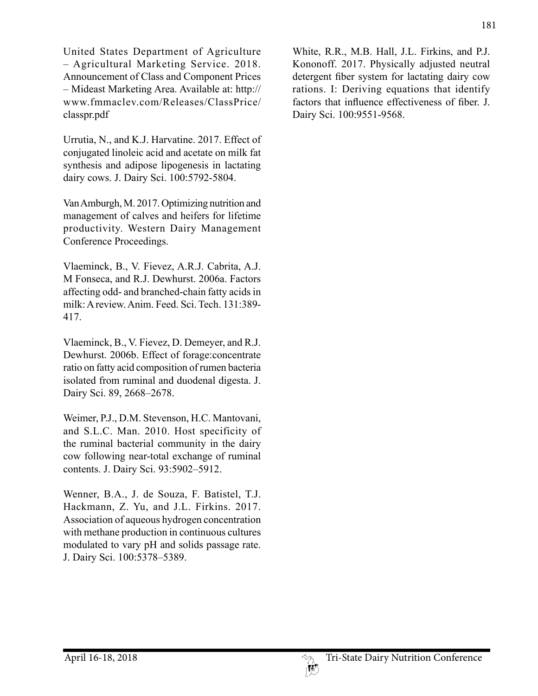United States Department of Agriculture – Agricultural Marketing Service. 2018. Announcement of Class and Component Prices – Mideast Marketing Area. Available at: http:// www.fmmaclev.com/Releases/ClassPrice/ classpr.pdf

Urrutia, N., and K.J. Harvatine. 2017. Effect of conjugated linoleic acid and acetate on milk fat synthesis and adipose lipogenesis in lactating dairy cows. J. Dairy Sci. 100:5792-5804.

Van Amburgh, M. 2017. Optimizing nutrition and management of calves and heifers for lifetime productivity. Western Dairy Management Conference Proceedings.

Vlaeminck, B., V. Fievez, A.R.J. Cabrita, A.J. M Fonseca, and R.J. Dewhurst. 2006a. Factors affecting odd- and branched-chain fatty acids in milk: A review. Anim. Feed. Sci. Tech. 131:389- 417.

Vlaeminck, B., V. Fievez, D. Demeyer, and R.J. Dewhurst. 2006b. Effect of forage:concentrate ratio on fatty acid composition of rumen bacteria isolated from ruminal and duodenal digesta. J. Dairy Sci. 89, 2668–2678.

Weimer, P.J., D.M. Stevenson, H.C. Mantovani, and S.L.C. Man. 2010. Host specificity of the ruminal bacterial community in the dairy cow following near-total exchange of ruminal contents. J. Dairy Sci. 93:5902–5912.

Wenner, B.A., J. de Souza, F. Batistel, T.J. Hackmann, Z. Yu, and J.L. Firkins. 2017. Association of aqueous hydrogen concentration with methane production in continuous cultures modulated to vary pH and solids passage rate. J. Dairy Sci. 100:5378–5389.

White, R.R., M.B. Hall, J.L. Firkins, and P.J. Kononoff. 2017. Physically adjusted neutral detergent fiber system for lactating dairy cow rations. I: Deriving equations that identify factors that influence effectiveness of fiber. J. Dairy Sci. 100:9551-9568.

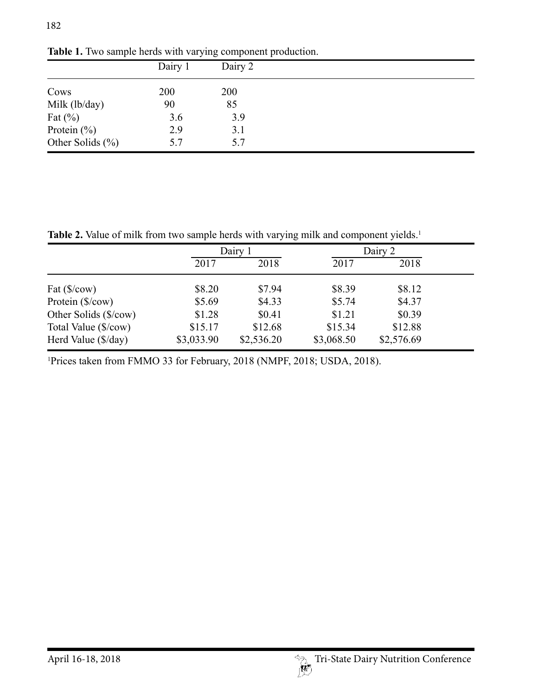|                      | Dairy 1 | Dairy 2 |  |  |
|----------------------|---------|---------|--|--|
| Cows                 | 200     | 200     |  |  |
| Milk (lb/day)        | 90      | 85      |  |  |
| Fat $(\%)$           | 3.6     | 3.9     |  |  |
| Protein $(\% )$      | 2.9     | 3.1     |  |  |
| Other Solids $(\% )$ | 5.7     | 5.7     |  |  |

Table 1. Two sample herds with varying component production.

Table 2. Value of milk from two sample herds with varying milk and component yields.<sup>1</sup>

|                                       | Dairy 1    |            | Dairy 2    |            |  |
|---------------------------------------|------------|------------|------------|------------|--|
|                                       | 2017       | 2018       | 2017       | 2018       |  |
| Fat $(\frac{\sqrt{5}}{\cos 2\theta})$ | \$8.20     | \$7.94     | \$8.39     | \$8.12     |  |
| Protein (\$/cow)                      | \$5.69     | \$4.33     | \$5.74     | \$4.37     |  |
| Other Solids (\$/cow)                 | \$1.28     | \$0.41     | \$1.21     | \$0.39     |  |
| Total Value (\$/cow)                  | \$15.17    | \$12.68    | \$15.34    | \$12.88    |  |
| Herd Value (\$/day)                   | \$3,033.90 | \$2,536.20 | \$3,068.50 | \$2,576.69 |  |

1 Prices taken from FMMO 33 for February, 2018 (NMPF, 2018; USDA, 2018).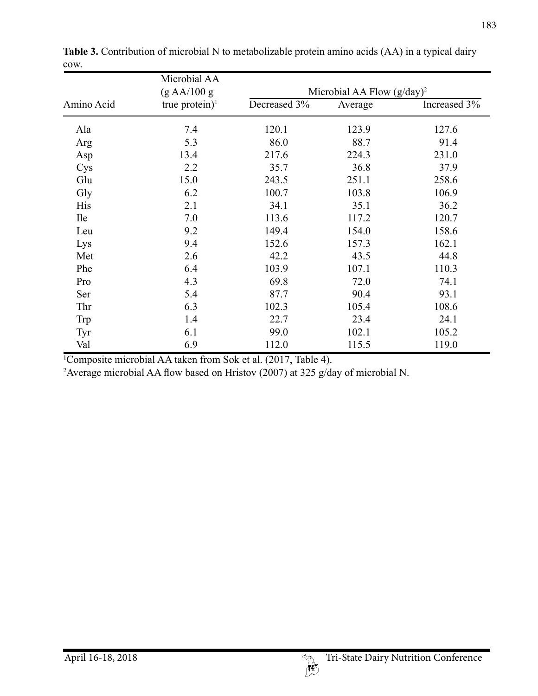|            | Microbial AA      | Microbial AA Flow $(g/day)^2$ |         |              |  |  |
|------------|-------------------|-------------------------------|---------|--------------|--|--|
|            | (g A A/100 g      |                               |         |              |  |  |
| Amino Acid | true protein) $1$ | Decreased 3%                  | Average | Increased 3% |  |  |
| Ala        | 7.4               | 120.1                         | 123.9   | 127.6        |  |  |
| Arg        | 5.3               | 86.0                          | 88.7    | 91.4         |  |  |
| Asp        | 13.4              | 217.6                         | 224.3   | 231.0        |  |  |
| Cys        | 2.2               | 35.7                          | 36.8    | 37.9         |  |  |
| Glu        | 15.0              | 243.5                         | 251.1   | 258.6        |  |  |
| Gly        | 6.2               | 100.7                         | 103.8   | 106.9        |  |  |
| <b>His</b> | 2.1               | 34.1                          | 35.1    | 36.2         |  |  |
| <b>Ile</b> | 7.0               | 113.6                         | 117.2   | 120.7        |  |  |
| Leu        | 9.2               | 149.4                         | 154.0   | 158.6        |  |  |
| Lys        | 9.4               | 152.6                         | 157.3   | 162.1        |  |  |
| Met        | 2.6               | 42.2                          | 43.5    | 44.8         |  |  |
| Phe        | 6.4               | 103.9                         | 107.1   | 110.3        |  |  |
| Pro        | 4.3               | 69.8                          | 72.0    | 74.1         |  |  |
| Ser        | 5.4               | 87.7                          | 90.4    | 93.1         |  |  |
| Thr        | 6.3               | 102.3                         | 105.4   | 108.6        |  |  |
| Trp        | 1.4               | 22.7                          | 23.4    | 24.1         |  |  |
| Tyr        | 6.1               | 99.0                          | 102.1   | 105.2        |  |  |
| Val        | 6.9               | 112.0                         | 115.5   | 119.0        |  |  |

**Table 3.** Contribution of microbial N to metabolizable protein amino acids (AA) in a typical dairy cow.

1 Composite microbial AA taken from Sok et al. (2017, Table 4).

2 Average microbial AA flow based on Hristov (2007) at 325 g/day of microbial N.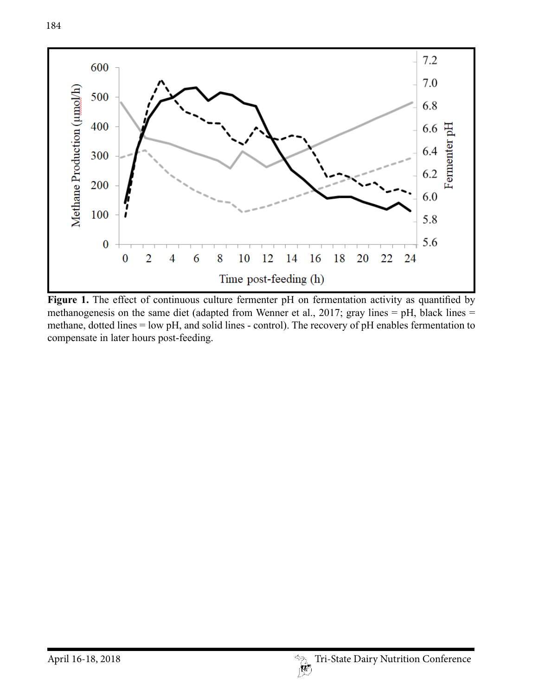



Figure 1. The effect of continuous culture fermenter pH on fermentation activity as quantified by methanogenesis on the same diet (adapted from Wenner et al., 2017; gray lines = pH, black lines = methane, dotted lines = low pH, and solid lines - control). The recovery of pH enables fermentation to compensate in later hours post-feeding.